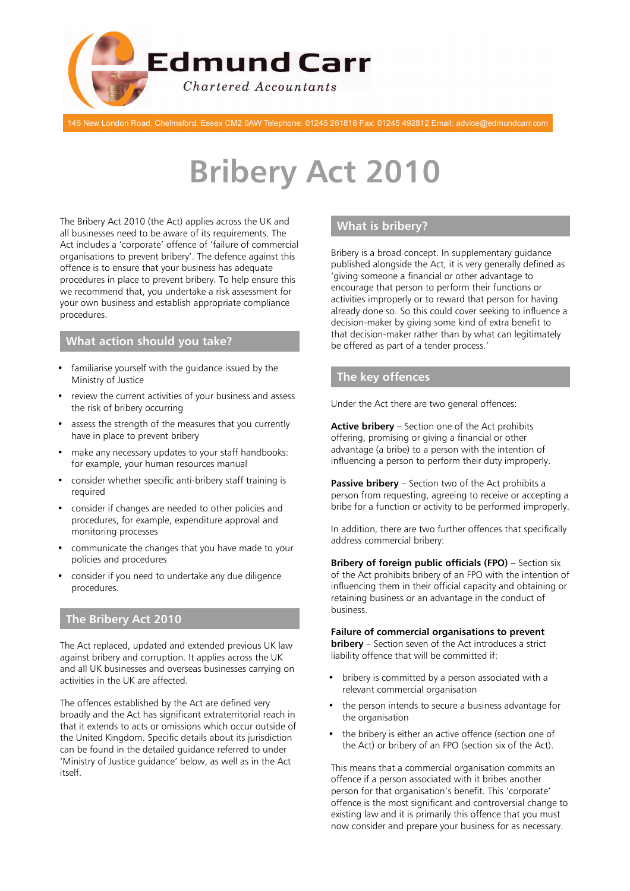

146 New London Road, Chelmsford, Essex CM2 0AW Telephone: 01245 261818 Fax: 01245 492812 Email: advice@edmundcarr.com

# **Bribery Act 2010**

The Bribery Act 2010 (the Act) applies across the UK and all businesses need to be aware of its requirements. The Act includes a 'corporate' offence of 'failure of commercial organisations to prevent bribery'. The defence against this offence is to ensure that your business has adequate procedures in place to prevent bribery. To help ensure this we recommend that, you undertake a risk assessment for your own business and establish appropriate compliance procedures.

#### **What action should you take?**

- familiarise vourself with the quidance issued by the Ministry of Justice
- review the current activities of your business and assess the risk of bribery occurring
- assess the strength of the measures that you currently have in place to prevent bribery
- make any necessary updates to your staff handbooks: for example, your human resources manual
- consider whether specific anti-bribery staff training is required
- consider if changes are needed to other policies and procedures, for example, expenditure approval and monitoring processes
- communicate the changes that you have made to your policies and procedures
- consider if you need to undertake any due diligence procedures.

# **The Bribery Act 2010**

The Act replaced, updated and extended previous UK law against bribery and corruption. It applies across the UK and all UK businesses and overseas businesses carrying on activities in the UK are affected.

The offences established by the Act are defined very broadly and the Act has significant extraterritorial reach in that it extends to acts or omissions which occur outside of the United Kingdom. Specific details about its jurisdiction can be found in the detailed guidance referred to under 'Ministry of Justice guidance' below, as well as in the Act itself.

# **What is bribery?**

Bribery is a broad concept. In supplementary guidance published alongside the Act, it is very generally defined as 'giving someone a financial or other advantage to encourage that person to perform their functions or activities improperly or to reward that person for having already done so. So this could cover seeking to influence a decision-maker by giving some kind of extra benefit to that decision-maker rather than by what can legitimately be offered as part of a tender process.'

# **The key offences**

Under the Act there are two general offences:

**Active bribery** – Section one of the Act prohibits offering, promising or giving a financial or other advantage (a bribe) to a person with the intention of influencing a person to perform their duty improperly.

**Passive bribery** – Section two of the Act prohibits a person from requesting, agreeing to receive or accepting a bribe for a function or activity to be performed improperly.

In addition, there are two further offences that specifically address commercial bribery:

**Bribery of foreign public officials (FPO)** – Section six of the Act prohibits bribery of an FPO with the intention of influencing them in their official capacity and obtaining or retaining business or an advantage in the conduct of business.

#### **Failure of commercial organisations to prevent**

**bribery** – Section seven of the Act introduces a strict liability offence that will be committed if:

- bribery is committed by a person associated with a relevant commercial organisation
- the person intends to secure a business advantage for the organisation
- the bribery is either an active offence (section one of the Act) or bribery of an FPO (section six of the Act).

This means that a commercial organisation commits an offence if a person associated with it bribes another person for that organisation's benefit. This 'corporate' offence is the most significant and controversial change to existing law and it is primarily this offence that you must now consider and prepare your business for as necessary.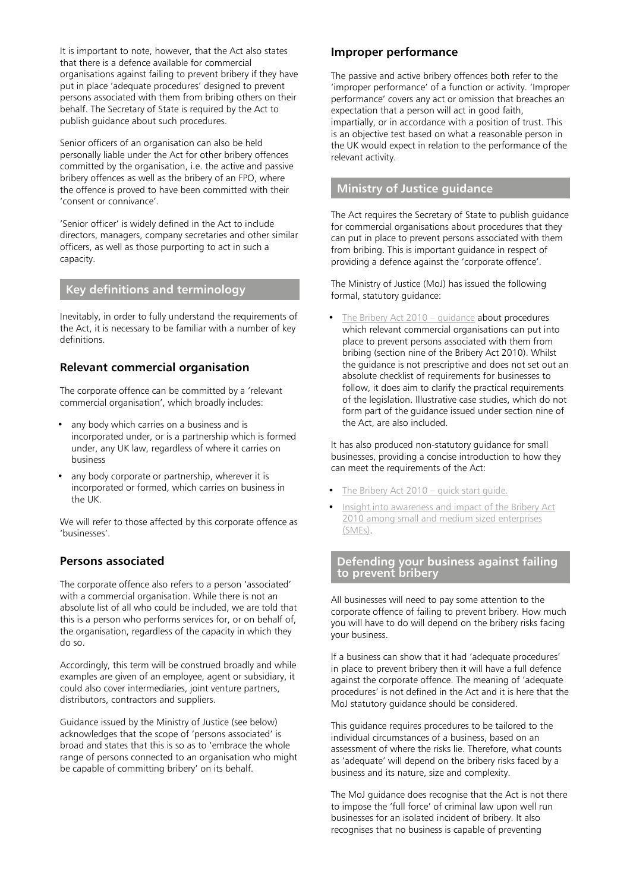It is important to note, however, that the Act also states that there is a defence available for commercial organisations against failing to prevent bribery if they have put in place 'adequate procedures' designed to prevent persons associated with them from bribing others on their behalf. The Secretary of State is required by the Act to publish guidance about such procedures.

Senior officers of an organisation can also be held personally liable under the Act for other bribery offences committed by the organisation, i.e. the active and passive bribery offences as well as the bribery of an FPO, where the offence is proved to have been committed with their 'consent or connivance'.

'Senior officer' is widely defined in the Act to include directors, managers, company secretaries and other similar officers, as well as those purporting to act in such a capacity.

### **Key definitions and terminology**

Inevitably, in order to fully understand the requirements of the Act, it is necessary to be familiar with a number of key definitions.

#### **Relevant commercial organisation**

The corporate offence can be committed by a 'relevant commercial organisation', which broadly includes:

- any body which carries on a business and is incorporated under, or is a partnership which is formed under, any UK law, regardless of where it carries on business
- any body corporate or partnership, wherever it is incorporated or formed, which carries on business in the UK.

We will refer to those affected by this corporate offence as 'businesses'.

#### **Persons associated**

The corporate offence also refers to a person 'associated' with a commercial organisation. While there is not an absolute list of all who could be included, we are told that this is a person who performs services for, or on behalf of, the organisation, regardless of the capacity in which they do so.

Accordingly, this term will be construed broadly and while examples are given of an employee, agent or subsidiary, it could also cover intermediaries, joint venture partners, distributors, contractors and suppliers.

Guidance issued by the Ministry of Justice (see below) acknowledges that the scope of 'persons associated' is broad and states that this is so as to 'embrace the whole range of persons connected to an organisation who might be capable of committing bribery' on its behalf.

#### **Improper performance**

The passive and active bribery offences both refer to the 'improper performance' of a function or activity. 'Improper performance' covers any act or omission that breaches an expectation that a person will act in good faith, impartially, or in accordance with a position of trust. This is an objective test based on what a reasonable person in the UK would expect in relation to the performance of the relevant activity.

#### **Ministry of Justice guidance**

The Act requires the Secretary of State to publish guidance for commercial organisations about procedures that they can put in place to prevent persons associated with them from bribing. This is important guidance in respect of providing a defence against the 'corporate offence'.

The Ministry of Justice (MoJ) has issued the following formal, statutory guidance:

The Bribery Act  $2010 -$  quidance **about procedures** which relevant commercial organisations can put into place to prevent persons associated with them from bribing (section nine of the Bribery Act 2010). Whilst the guidance is not prescriptive and does not set out an absolute checklist of requirements for businesses to follow, it does aim to clarify the practical requirements of the legislation. Illustrative case studies, which do not form part of the guidance issued under section nine of the Act, are also included.

It has also produced non-statutory guidance for small businesses, providing a concise introduction to how they can meet the requirements of the Act:

- The Bribery Act 2010 quick start quide.
- [Insight into awareness and impact of the Bribery Act](https://www.gov.uk/government/uploads/system/uploads/attachment_data/file/440661/insight-into-awareness-and-impact-of-the-bribery-act-2010.pdf) [2010 among small and medium sized enterprises](https://www.gov.uk/government/uploads/system/uploads/attachment_data/file/440661/insight-into-awareness-and-impact-of-the-bribery-act-2010.pdf) [\(SMEs\)](https://www.gov.uk/government/uploads/system/uploads/attachment_data/file/440661/insight-into-awareness-and-impact-of-the-bribery-act-2010.pdf).

#### **Defending your business against failing to prevent bribery**

All businesses will need to pay some attention to the corporate offence of failing to prevent bribery. How much you will have to do will depend on the bribery risks facing your business.

If a business can show that it had 'adequate procedures' in place to prevent bribery then it will have a full defence against the corporate offence. The meaning of 'adequate procedures' is not defined in the Act and it is here that the MoJ statutory guidance should be considered.

This guidance requires procedures to be tailored to the individual circumstances of a business, based on an assessment of where the risks lie. Therefore, what counts as 'adequate' will depend on the bribery risks faced by a business and its nature, size and complexity.

The MoJ guidance does recognise that the Act is not there to impose the 'full force' of criminal law upon well run businesses for an isolated incident of bribery. It also recognises that no business is capable of preventing